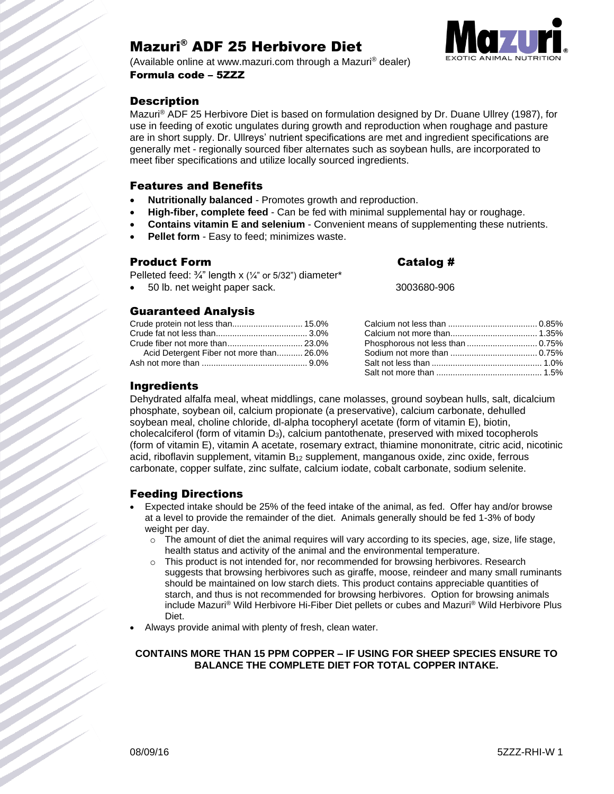# Mazuri® ADF 25 Herbivore Diet



(Available online at www.mazuri.com through a Mazuri® dealer) Formula code – 5ZZZ

# **Description**

Mazuri® ADF 25 Herbivore Diet is based on formulation designed by Dr. Duane Ullrey (1987), for use in feeding of exotic ungulates during growth and reproduction when roughage and pasture are in short supply. Dr. Ullreys' nutrient specifications are met and ingredient specifications are generally met - regionally sourced fiber alternates such as soybean hulls, are incorporated to meet fiber specifications and utilize locally sourced ingredients.

## Features and Benefits

- **Nutritionally balanced** Promotes growth and reproduction.
- **High-fiber, complete feed** Can be fed with minimal supplemental hay or roughage.
- **Contains vitamin E and selenium** Convenient means of supplementing these nutrients.
- **Pellet form** Easy to feed; minimizes waste.

## Product Form Catalog #

| Pelleted feed: $\frac{3}{4}$ " length x ( $\frac{1}{4}$ " or 5/32") diameter* |             |
|-------------------------------------------------------------------------------|-------------|
| 50 lb. net weight paper sack.                                                 | 3003680-906 |

## Guaranteed Analysis

| Crude protein not less than 15.0%        |  |
|------------------------------------------|--|
|                                          |  |
|                                          |  |
| Acid Detergent Fiber not more than 26.0% |  |
|                                          |  |

# Ingredients

Dehydrated alfalfa meal, wheat middlings, cane molasses, ground soybean hulls, salt, dicalcium phosphate, soybean oil, calcium propionate (a preservative), calcium carbonate, dehulled soybean meal, choline chloride, dl-alpha tocopheryl acetate (form of vitamin E), biotin, cholecalciferol (form of vitamin D3), calcium pantothenate, preserved with mixed tocopherols (form of vitamin E), vitamin A acetate, rosemary extract, thiamine mononitrate, citric acid, nicotinic acid, riboflavin supplement, vitamin  $B_{12}$  supplement, manganous oxide, zinc oxide, ferrous carbonate, copper sulfate, zinc sulfate, calcium iodate, cobalt carbonate, sodium selenite.

# Feeding Directions

- Expected intake should be 25% of the feed intake of the animal, as fed. Offer hay and/or browse at a level to provide the remainder of the diet. Animals generally should be fed 1-3% of body weight per day.
	- $\circ$  The amount of diet the animal requires will vary according to its species, age, size, life stage, health status and activity of the animal and the environmental temperature.
	- $\circ$  This product is not intended for, nor recommended for browsing herbivores. Research suggests that browsing herbivores such as giraffe, moose, reindeer and many small ruminants should be maintained on low starch diets. This product contains appreciable quantities of starch, and thus is not recommended for browsing herbivores. Option for browsing animals include Mazuri® Wild Herbivore Hi-Fiber Diet pellets or cubes and Mazuri® Wild Herbivore Plus Diet.
- Always provide animal with plenty of fresh, clean water.

## **CONTAINS MORE THAN 15 PPM COPPER – IF USING FOR SHEEP SPECIES ENSURE TO BALANCE THE COMPLETE DIET FOR TOTAL COPPER INTAKE.**